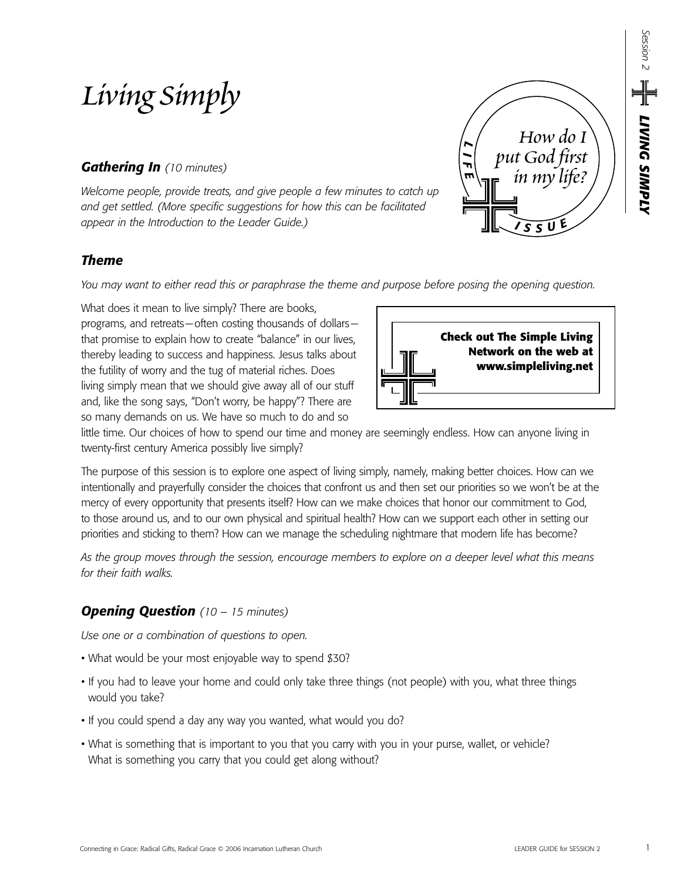# *Living Simply*

# *Gathering In (10 minutes)*

*Welcome people, provide treats, and give people a few minutes to catch up and get settled. (More specific suggestions for how this can be facilitated appear in the Introduction to the Leader Guide.)*

## *Theme*

*You may want to either read this or paraphrase the theme and purpose before posing the opening question.*

What does it mean to live simply? There are books, programs, and retreats—often costing thousands of dollars that promise to explain how to create "balance" in our lives, thereby leading to success and happiness. Jesus talks about the futility of worry and the tug of material riches. Does living simply mean that we should give away all of our stuff and, like the song says, "Don't worry, be happy"? There are so many demands on us. We have so much to do and so



*<sup>I</sup> <sup>S</sup> <sup>S</sup> <sup>U</sup> E*

*How do I* 

*in my life?*

*put God first* 

*L I F E*

little time. Our choices of how to spend our time and money are seemingly endless. How can anyone living in twenty-first century America possibly live simply?

The purpose of this session is to explore one aspect of living simply, namely, making better choices. How can we intentionally and prayerfully consider the choices that confront us and then set our priorities so we won't be at the mercy of every opportunity that presents itself? How can we make choices that honor our commitment to God, to those around us, and to our own physical and spiritual health? How can we support each other in setting our priorities and sticking to them? How can we manage the scheduling nightmare that modern life has become?

*As the group moves through the session, encourage members to explore on a deeper level what this means for their faith walks.*

# *Opening Question (10 – 15 minutes)*

*Use one or a combination of questions to open.*

- What would be your most enjoyable way to spend \$30?
- If you had to leave your home and could only take three things (not people) with you, what three things would you take?
- If you could spend a day any way you wanted, what would you do?
- What is something that is important to you that you carry with you in your purse, wallet, or vehicle? What is something you carry that you could get along without?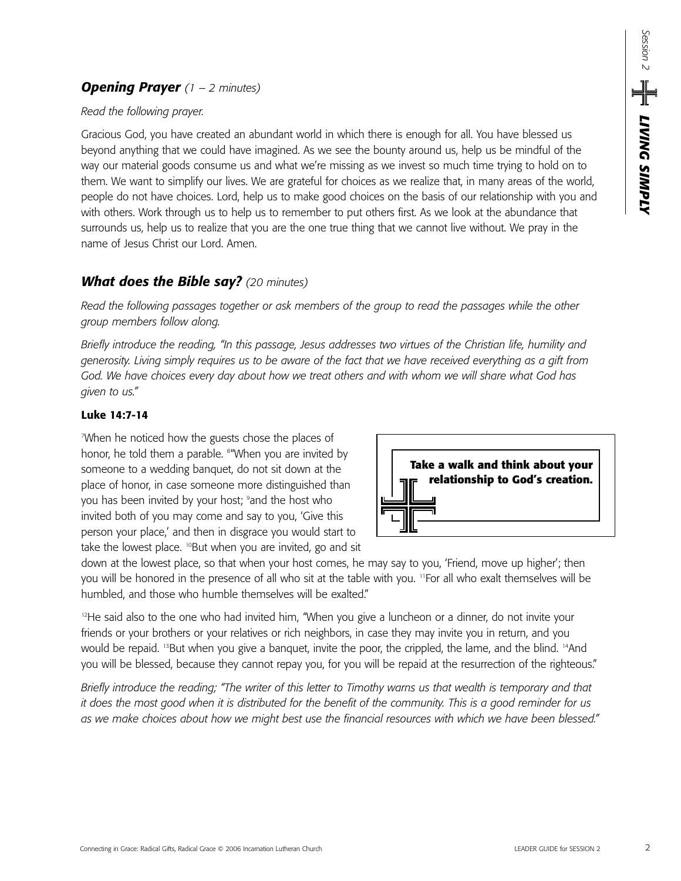## *Opening Prayer (1 – 2 minutes)*

#### *Read the following prayer.*

Gracious God, you have created an abundant world in which there is enough for all. You have blessed us beyond anything that we could have imagined. As we see the bounty around us, help us be mindful of the way our material goods consume us and what we're missing as we invest so much time trying to hold on to them. We want to simplify our lives. We are grateful for choices as we realize that, in many areas of the world, people do not have choices. Lord, help us to make good choices on the basis of our relationship with you and with others. Work through us to help us to remember to put others first. As we look at the abundance that surrounds us, help us to realize that you are the one true thing that we cannot live without. We pray in the name of Jesus Christ our Lord. Amen.

## *What does the Bible say? (20 minutes)*

*Read the following passages together or ask members of the group to read the passages while the other group members follow along.* 

*Briefly introduce the reading, "In this passage, Jesus addresses two virtues of the Christian life, humility and generosity. Living simply requires us to be aware of the fact that we have received everything as a gift from God. We have choices every day about how we treat others and with whom we will share what God has given to us."*

#### **Luke 14:7-14**

7 When he noticed how the guests chose the places of honor, he told them a parable. 8 "When you are invited by someone to a wedding banquet, do not sit down at the place of honor, in case someone more distinguished than you has been invited by your host; <sup>9</sup>and the host who invited both of you may come and say to you, 'Give this person your place,' and then in disgrace you would start to take the lowest place. <sup>10</sup>But when you are invited, go and sit



down at the lowest place, so that when your host comes, he may say to you, 'Friend, move up higher'; then you will be honored in the presence of all who sit at the table with you. "For all who exalt themselves will be humbled, and those who humble themselves will be exalted."

<sup>12</sup>He said also to the one who had invited him, "When you give a luncheon or a dinner, do not invite your friends or your brothers or your relatives or rich neighbors, in case they may invite you in return, and you would be repaid. <sup>13</sup>But when you give a banquet, invite the poor, the crippled, the lame, and the blind. <sup>14</sup>And you will be blessed, because they cannot repay you, for you will be repaid at the resurrection of the righteous."

*Briefly introduce the reading; "The writer of this letter to Timothy warns us that wealth is temporary and that it does the most good when it is distributed for the benefit of the community. This is a good reminder for us as we make choices about how we might best use the financial resources with which we have been blessed."*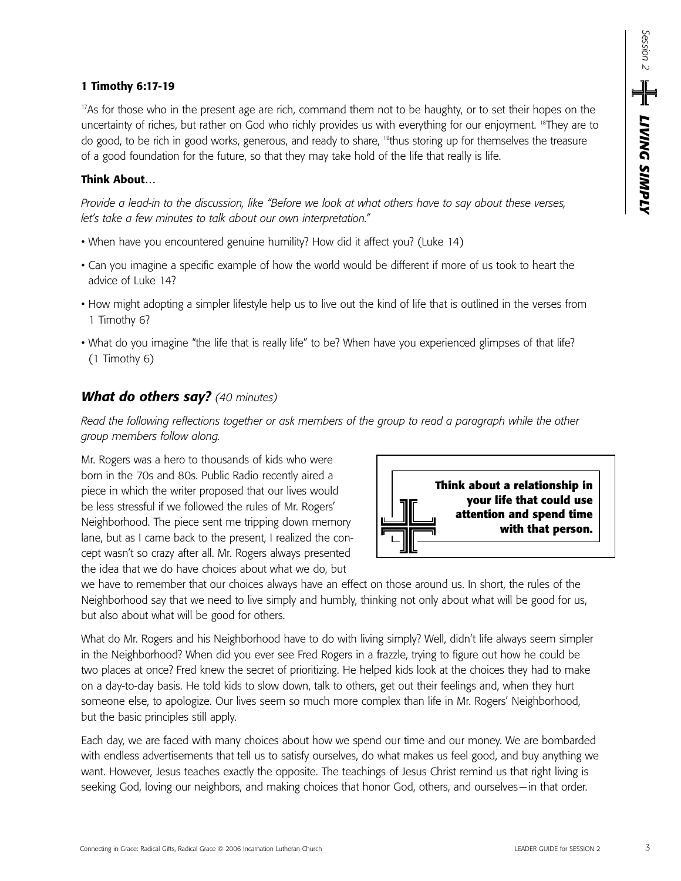#### **1 Timothy 6:17-19**

<sup>17</sup>As for those who in the present age are rich, command them not to be haughty, or to set their hopes on the uncertainty of riches, but rather on God who richly provides us with everything for our enjoyment. 18They are to do good, to be rich in good works, generous, and ready to share, <sup>19</sup>thus storing up for themselves the treasure of a good foundation for the future, so that they may take hold of the life that really is life.

#### **Think About…**

*Provide a lead-in to the discussion, like "Before we look at what others have to say about these verses, let's take a few minutes to talk about our own interpretation."*

- When have you encountered genuine humility? How did it affect you? (Luke 14)
- Can you imagine a specific example of how the world would be different if more of us took to heart the advice of Luke 14?
- How might adopting a simpler lifestyle help us to live out the kind of life that is outlined in the verses from 1 Timothy 6?
- What do you imagine "the life that is really life" to be? When have you experienced glimpses of that life? (1 Timothy 6)

## *What do others say? (40 minutes)*

*Read the following reflections together or ask members of the group to read a paragraph while the other group members follow along.*

Mr. Rogers was a hero to thousands of kids who were born in the 70s and 80s. Public Radio recently aired a piece in which the writer proposed that our lives would be less stressful if we followed the rules of Mr. Rogers' Neighborhood. The piece sent me tripping down memory lane, but as I came back to the present, I realized the concept wasn't so crazy after all. Mr. Rogers always presented the idea that we do have choices about what we do, but



we have to remember that our choices always have an effect on those around us. In short, the rules of the Neighborhood say that we need to live simply and humbly, thinking not only about what will be good for us, but also about what will be good for others.

What do Mr. Rogers and his Neighborhood have to do with living simply? Well, didn't life always seem simpler in the Neighborhood? When did you ever see Fred Rogers in a frazzle, trying to figure out how he could be two places at once? Fred knew the secret of prioritizing. He helped kids look at the choices they had to make on a day-to-day basis. He told kids to slow down, talk to others, get out their feelings and, when they hurt someone else, to apologize. Our lives seem so much more complex than life in Mr. Rogers' Neighborhood, but the basic principles still apply.

Each day, we are faced with many choices about how we spend our time and our money. We are bombarded with endless advertisements that tell us to satisfy ourselves, do what makes us feel good, and buy anything we want. However, Jesus teaches exactly the opposite. The teachings of Jesus Christ remind us that right living is seeking God, loving our neighbors, and making choices that honor God, others, and ourselves—in that order.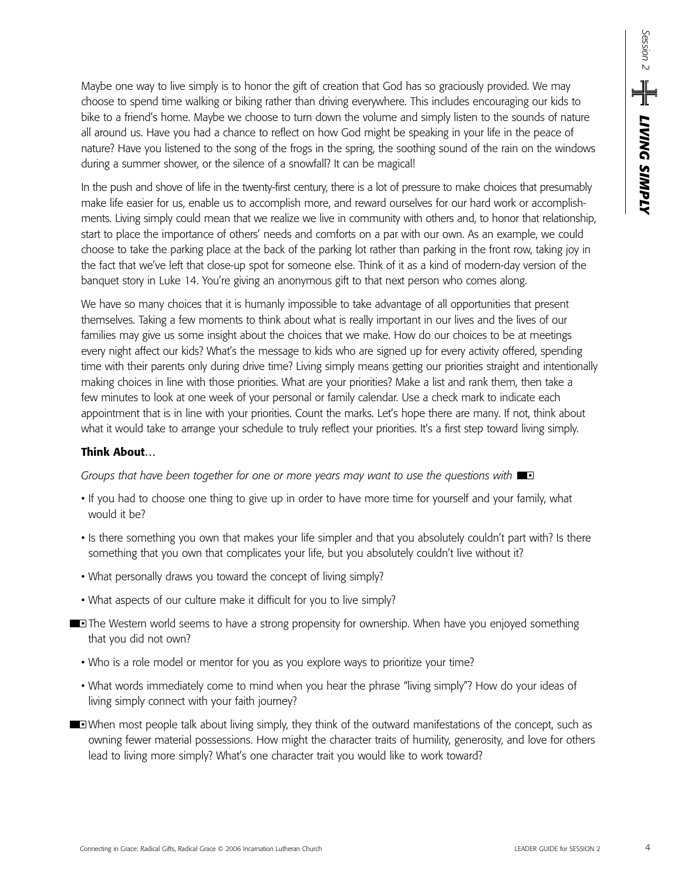Maybe one way to live simply is to honor the gift of creation that God has so graciously provided. We may choose to spend time walking or biking rather than driving everywhere. This includes encouraging our kids to bike to a friend's home. Maybe we choose to turn down the volume and simply listen to the sounds of nature all around us. Have you had a chance to reflect on how God might be speaking in your life in the peace of nature? Have you listened to the song of the frogs in the spring, the soothing sound of the rain on the windows during a summer shower, or the silence of a snowfall? It can be magical!

In the push and shove of life in the twenty-first century, there is a lot of pressure to make choices that presumably make life easier for us, enable us to accomplish more, and reward ourselves for our hard work or accomplishments. Living simply could mean that we realize we live in community with others and, to honor that relationship, start to place the importance of others' needs and comforts on a par with our own. As an example, we could choose to take the parking place at the back of the parking lot rather than parking in the front row, taking joy in the fact that we've left that close-up spot for someone else. Think of it as a kind of modern-day version of the banquet story in Luke 14. You're giving an anonymous gift to that next person who comes along.

We have so many choices that it is humanly impossible to take advantage of all opportunities that present themselves. Taking a few moments to think about what is really important in our lives and the lives of our families may give us some insight about the choices that we make. How do our choices to be at meetings every night affect our kids? What's the message to kids who are signed up for every activity offered, spending time with their parents only during drive time? Living simply means getting our priorities straight and intentionally making choices in line with those priorities. What are your priorities? Make a list and rank them, then take a few minutes to look at one week of your personal or family calendar. Use a check mark to indicate each appointment that is in line with your priorities. Count the marks. Let's hope there are many. If not, think about what it would take to arrange your schedule to truly reflect your priorities. It's a first step toward living simply.

#### **Think About…**

*Groups that have been together for one or more years may want to use the questions with*  $\blacksquare$ 

- If you had to choose one thing to give up in order to have more time for yourself and your family, what would it be?
- Is there something you own that makes your life simpler and that you absolutely couldn't part with? Is there something that you own that complicates your life, but you absolutely couldn't live without it?
- What personally draws you toward the concept of living simply?
- What aspects of our culture make it difficult for you to live simply?
- **The Western world seems to have a strong propensity for ownership. When have you enjoyed something** that you did not own?
	- Who is a role model or mentor for you as you explore ways to prioritize your time?
	- What words immediately come to mind when you hear the phrase "living simply"? How do your ideas of living simply connect with your faith journey?
- When most people talk about living simply, they think of the outward manifestations of the concept, such as owning fewer material possessions. How might the character traits of humility, generosity, and love for others lead to living more simply? What's one character trait you would like to work toward?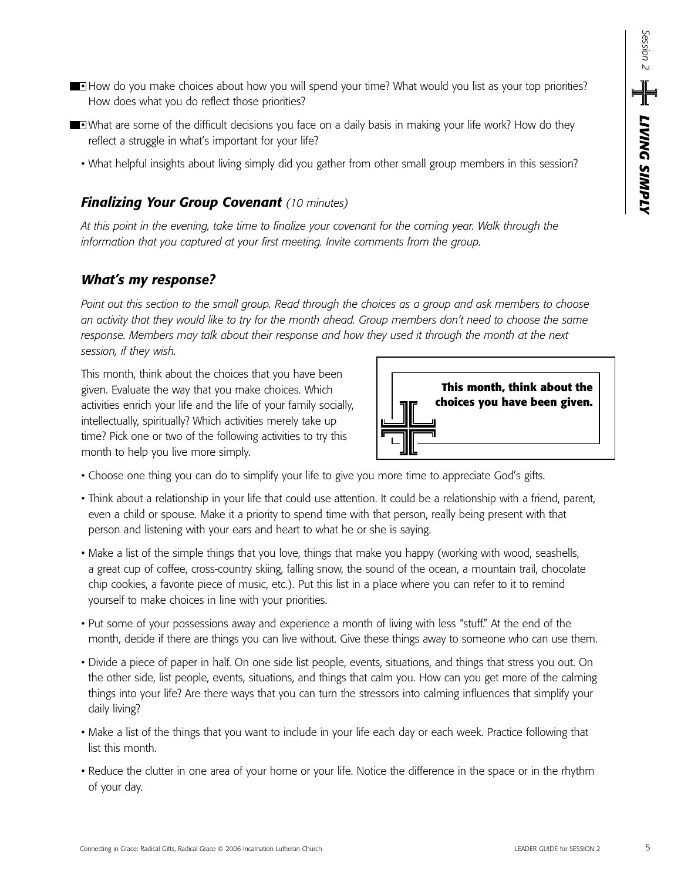- **How do you make choices about how you will spend your time? What would you list as your top priorities?** How does what you do reflect those priorities?
- **What are some of the difficult decisions you face on a daily basis in making your life work? How do they** reflect a struggle in what's important for your life?
	- What helpful insights about living simply did you gather from other small group members in this session?

## *Finalizing Your Group Covenant (10 minutes)*

*At this point in the evening, take time to finalize your covenant for the coming year. Walk through the information that you captured at your first meeting. Invite comments from the group.*

## *What's my response?*

*Point out this section to the small group. Read through the choices as a group and ask members to choose an activity that they would like to try for the month ahead. Group members don't need to choose the same response. Members may talk about their response and how they used it through the month at the next session, if they wish.*

This month, think about the choices that you have been given. Evaluate the way that you make choices. Which activities enrich your life and the life of your family socially, intellectually, spiritually? Which activities merely take up time? Pick one or two of the following activities to try this month to help you live more simply.



- Choose one thing you can do to simplify your life to give you more time to appreciate God's gifts.
- Think about a relationship in your life that could use attention. It could be a relationship with a friend, parent, even a child or spouse. Make it a priority to spend time with that person, really being present with that person and listening with your ears and heart to what he or she is saying.
- Make a list of the simple things that you love, things that make you happy (working with wood, seashells, a great cup of coffee, cross-country skiing, falling snow, the sound of the ocean, a mountain trail, chocolate chip cookies, a favorite piece of music, etc.). Put this list in a place where you can refer to it to remind yourself to make choices in line with your priorities.
- Put some of your possessions away and experience a month of living with less "stuff." At the end of the month, decide if there are things you can live without. Give these things away to someone who can use them.
- Divide a piece of paper in half. On one side list people, events, situations, and things that stress you out. On the other side, list people, events, situations, and things that calm you. How can you get more of the calming things into your life? Are there ways that you can turn the stressors into calming influences that simplify your daily living?
- Make a list of the things that you want to include in your life each day or each week. Practice following that list this month.
- Reduce the clutter in one area of your home or your life. Notice the difference in the space or in the rhythm of your day.